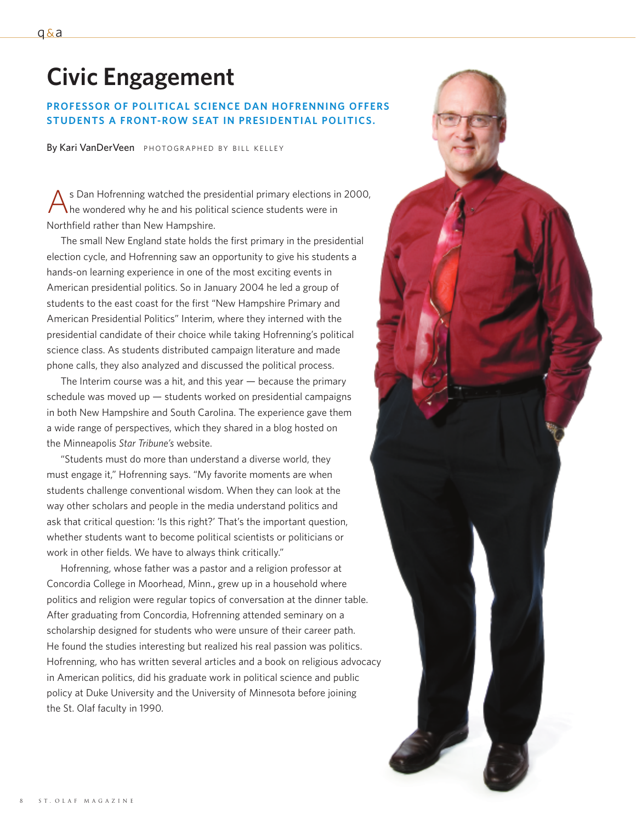# **Civic Engagement**

## **PROFESSOR OF POLITICAL SCIENCE DAN HOFRENNING OFFERS STUDENTS A FRONT-ROW SEAT IN PRESIDENTIAL POLITICS.**

By Kari VanDerVeen PHOTOGRAPHED BY BILL KELLEY

s Dan Hofrenning watched the presidential primary elections in 2000, he wondered why he and his political science students were in Northfield rather than New Hampshire.

The small New England state holds the first primary in the presidential election cycle, and Hofrenning saw an opportunity to give his students a hands-on learning experience in one of the most exciting events in American presidential politics. So in January 2004 he led a group of students to the east coast for the first "New Hampshire Primary and American Presidential Politics" Interim, where they interned with the presidential candidate of their choice while taking Hofrenning's political science class. As students distributed campaign literature and made phone calls, they also analyzed and discussed the political process.

The Interim course was a hit, and this year  $-$  because the primary schedule was moved up  $-$  students worked on presidential campaigns in both New Hampshire and South Carolina. The experience gave them a wide range of perspectives, which they shared in a blog hosted on the Minneapolis *Star Tribune's* website.

"Students must do more than understand a diverse world, they must engage it," Hofrenning says. "My favorite moments are when students challenge conventional wisdom. When they can look at the way other scholars and people in the media understand politics and ask that critical question: 'Is this right?' That's the important question, whether students want to become political scientists or politicians or work in other fields. We have to always think critically."

Hofrenning, whose father was a pastor and a religion professor at Concordia College in Moorhead, Minn., grew up in a household where politics and religion were regular topics of conversation at the dinner table. After graduating from Concordia, Hofrenning attended seminary on a scholarship designed for students who were unsure of their career path. He found the studies interesting but realized his real passion was politics. Hofrenning, who has written several articles and a book on religious advocacy in American politics, did his graduate work in political science and public policy at Duke University and the University of Minnesota before joining the St. Olaf faculty in 1990.